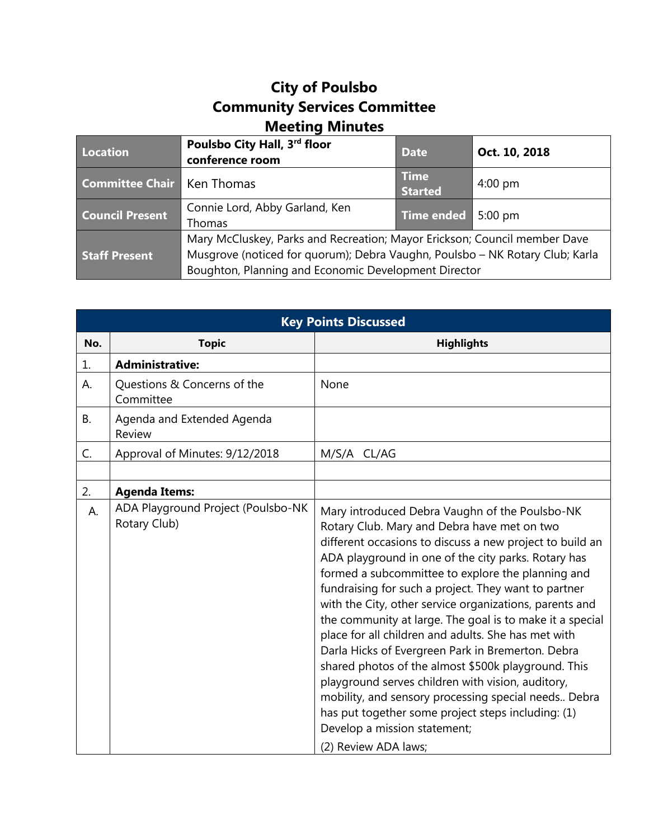## **City of Poulsbo Community Services Committee Meeting Minutes**

| Location                          | Poulsbo City Hall, 3rd floor<br>conference room                                                                                                                                                                   | <b>Date</b>                   | Oct. 10, 2018     |
|-----------------------------------|-------------------------------------------------------------------------------------------------------------------------------------------------------------------------------------------------------------------|-------------------------------|-------------------|
| <b>Committee Chair Ken Thomas</b> |                                                                                                                                                                                                                   | <b>Time</b><br><b>Started</b> | $4:00 \text{ pm}$ |
| <b>Council Present</b>            | Connie Lord, Abby Garland, Ken<br>Thomas                                                                                                                                                                          | Time ended 5:00 pm            |                   |
| <b>Staff Present</b>              | Mary McCluskey, Parks and Recreation; Mayor Erickson; Council member Dave<br>Musgrove (noticed for quorum); Debra Vaughn, Poulsbo - NK Rotary Club; Karla<br>Boughton, Planning and Economic Development Director |                               |                   |

| <b>Key Points Discussed</b> |                                                    |                                                                                                                                                                                                                                                                                                                                                                                                                                                                                                                                                                                                                                                                                                                                                                                                                                                    |  |  |
|-----------------------------|----------------------------------------------------|----------------------------------------------------------------------------------------------------------------------------------------------------------------------------------------------------------------------------------------------------------------------------------------------------------------------------------------------------------------------------------------------------------------------------------------------------------------------------------------------------------------------------------------------------------------------------------------------------------------------------------------------------------------------------------------------------------------------------------------------------------------------------------------------------------------------------------------------------|--|--|
| No.                         | <b>Topic</b>                                       | <b>Highlights</b>                                                                                                                                                                                                                                                                                                                                                                                                                                                                                                                                                                                                                                                                                                                                                                                                                                  |  |  |
| 1.                          | <b>Administrative:</b>                             |                                                                                                                                                                                                                                                                                                                                                                                                                                                                                                                                                                                                                                                                                                                                                                                                                                                    |  |  |
| А.                          | Questions & Concerns of the<br>Committee           | None                                                                                                                                                                                                                                                                                                                                                                                                                                                                                                                                                                                                                                                                                                                                                                                                                                               |  |  |
| <b>B.</b>                   | Agenda and Extended Agenda<br>Review               |                                                                                                                                                                                                                                                                                                                                                                                                                                                                                                                                                                                                                                                                                                                                                                                                                                                    |  |  |
| C.                          | Approval of Minutes: 9/12/2018                     | M/S/A CL/AG                                                                                                                                                                                                                                                                                                                                                                                                                                                                                                                                                                                                                                                                                                                                                                                                                                        |  |  |
|                             |                                                    |                                                                                                                                                                                                                                                                                                                                                                                                                                                                                                                                                                                                                                                                                                                                                                                                                                                    |  |  |
| 2.                          | <b>Agenda Items:</b>                               |                                                                                                                                                                                                                                                                                                                                                                                                                                                                                                                                                                                                                                                                                                                                                                                                                                                    |  |  |
| А.                          | ADA Playground Project (Poulsbo-NK<br>Rotary Club) | Mary introduced Debra Vaughn of the Poulsbo-NK<br>Rotary Club. Mary and Debra have met on two<br>different occasions to discuss a new project to build an<br>ADA playground in one of the city parks. Rotary has<br>formed a subcommittee to explore the planning and<br>fundraising for such a project. They want to partner<br>with the City, other service organizations, parents and<br>the community at large. The goal is to make it a special<br>place for all children and adults. She has met with<br>Darla Hicks of Evergreen Park in Bremerton. Debra<br>shared photos of the almost \$500k playground. This<br>playground serves children with vision, auditory,<br>mobility, and sensory processing special needs Debra<br>has put together some project steps including: (1)<br>Develop a mission statement;<br>(2) Review ADA laws; |  |  |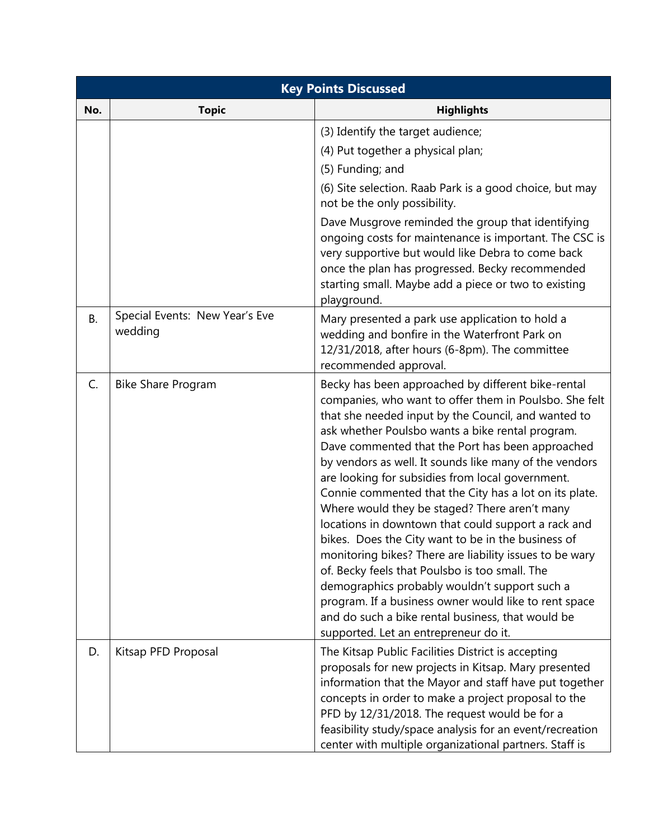| <b>Key Points Discussed</b> |                                           |                                                                                                                                                                                                                                                                                                                                                                                                                                                                                                                                                                                                                                                                                                                                                                                                                                                                                                                                        |  |  |
|-----------------------------|-------------------------------------------|----------------------------------------------------------------------------------------------------------------------------------------------------------------------------------------------------------------------------------------------------------------------------------------------------------------------------------------------------------------------------------------------------------------------------------------------------------------------------------------------------------------------------------------------------------------------------------------------------------------------------------------------------------------------------------------------------------------------------------------------------------------------------------------------------------------------------------------------------------------------------------------------------------------------------------------|--|--|
| No.                         | <b>Topic</b>                              | <b>Highlights</b>                                                                                                                                                                                                                                                                                                                                                                                                                                                                                                                                                                                                                                                                                                                                                                                                                                                                                                                      |  |  |
|                             |                                           | (3) Identify the target audience;<br>(4) Put together a physical plan;<br>(5) Funding; and<br>(6) Site selection. Raab Park is a good choice, but may<br>not be the only possibility.<br>Dave Musgrove reminded the group that identifying<br>ongoing costs for maintenance is important. The CSC is<br>very supportive but would like Debra to come back<br>once the plan has progressed. Becky recommended<br>starting small. Maybe add a piece or two to existing<br>playground.                                                                                                                                                                                                                                                                                                                                                                                                                                                    |  |  |
| <b>B.</b>                   | Special Events: New Year's Eve<br>wedding | Mary presented a park use application to hold a<br>wedding and bonfire in the Waterfront Park on<br>12/31/2018, after hours (6-8pm). The committee<br>recommended approval.                                                                                                                                                                                                                                                                                                                                                                                                                                                                                                                                                                                                                                                                                                                                                            |  |  |
| C.                          | <b>Bike Share Program</b>                 | Becky has been approached by different bike-rental<br>companies, who want to offer them in Poulsbo. She felt<br>that she needed input by the Council, and wanted to<br>ask whether Poulsbo wants a bike rental program.<br>Dave commented that the Port has been approached<br>by vendors as well. It sounds like many of the vendors<br>are looking for subsidies from local government.<br>Connie commented that the City has a lot on its plate.<br>Where would they be staged? There aren't many<br>locations in downtown that could support a rack and<br>bikes. Does the City want to be in the business of<br>monitoring bikes? There are liability issues to be wary<br>of. Becky feels that Poulsbo is too small. The<br>demographics probably wouldn't support such a<br>program. If a business owner would like to rent space<br>and do such a bike rental business, that would be<br>supported. Let an entrepreneur do it. |  |  |
| D.                          | Kitsap PFD Proposal                       | The Kitsap Public Facilities District is accepting<br>proposals for new projects in Kitsap. Mary presented<br>information that the Mayor and staff have put together<br>concepts in order to make a project proposal to the<br>PFD by 12/31/2018. The request would be for a<br>feasibility study/space analysis for an event/recreation<br>center with multiple organizational partners. Staff is                                                                                                                                                                                                                                                                                                                                                                                                                                                                                                                                     |  |  |